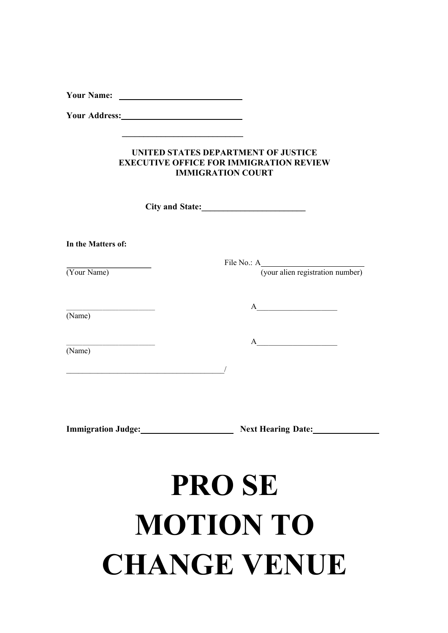**Your Name:** 

**\_\_\_\_\_\_\_\_\_\_\_\_\_\_\_\_\_\_\_\_\_\_\_\_\_\_\_\_**

**Your Address:**

#### **UNITED STATES DEPARTMENT OF JUSTICE EXECUTIVE OFFICE FOR IMMIGRATION REVIEW IMMIGRATION COURT**

**City and State:\_\_\_\_\_\_\_\_\_\_\_\_\_\_\_\_\_\_\_\_\_\_\_\_**

**In the Matters of:**

|             | File No.: A                      |
|-------------|----------------------------------|
| (Your Name) | (your alien registration number) |
| (Name)      | A                                |
| (Name)      | A                                |
|             |                                  |
|             |                                  |
|             |                                  |

**Immigration Judge:** Next Hearing Date:

# **PRO SE MOTION TO CHANGE VENUE**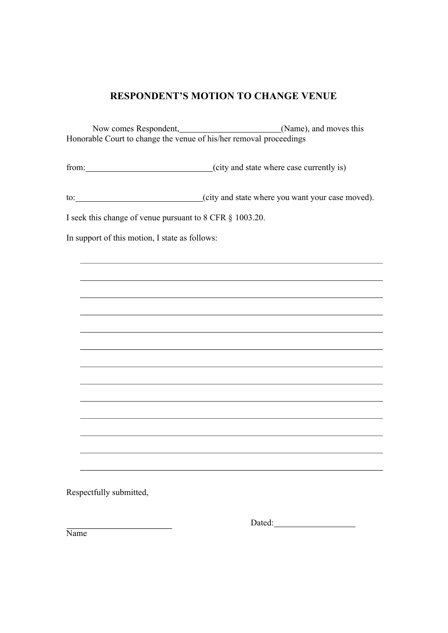### **RESPONDENT'S MOTION TO CHANGE VENUE**

Now comes Respondent, (Name), and moves this Honorable Court to change the venue of his/her removal proceedings

from: (city and state where case currently is)

to: (city and state where you want your case moved).

I seek this change of venue pursuant to 8 CFR § 1003.20.

In support of this motion, I state as follows:

Respectfully submitted,

Dated:

Name<sup>1</sup>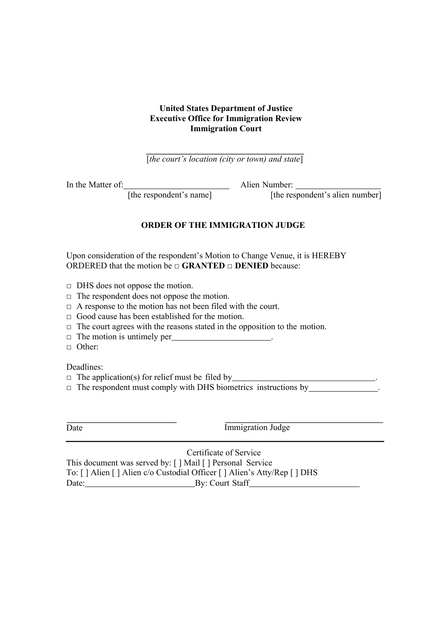#### **United States Department of Justice Executive Office for Immigration Review Immigration Court**

[*the court's location (city or town) and state*]

In the Matter of: Alien Number:

[the respondent's name] [the respondent's alien number]

#### **ORDER OF THE IMMIGRATION JUDGE**

Upon consideration of the respondent's Motion to Change Venue, it is HEREBY **ORDERED** that the motion be □ **GRANTED** □ **DENIED** because:

- $\Box$  DHS does not oppose the motion.
- $\Box$  The respondent does not oppose the motion.
- $\Box$  A response to the motion has not been filed with the court.
- □ Good cause has been established for the motion.
- $\Box$  The court agrees with the reasons stated in the opposition to the motion.
- $\Box$  The motion is untimely per  $\Box$
- □ Other:

Deadlines:

- $\Box$  The application(s) for relief must be filed by  $\Box$
- $\Box$  The respondent must comply with DHS biometrics instructions by

Date Immigration Judge

Certificate of Service This document was served by: [ ] Mail [ ] Personal Service To: [ ] Alien [ ] Alien c/o Custodial Officer [ ] Alien's Atty/Rep [ ] DHS Date: By: Court Staff